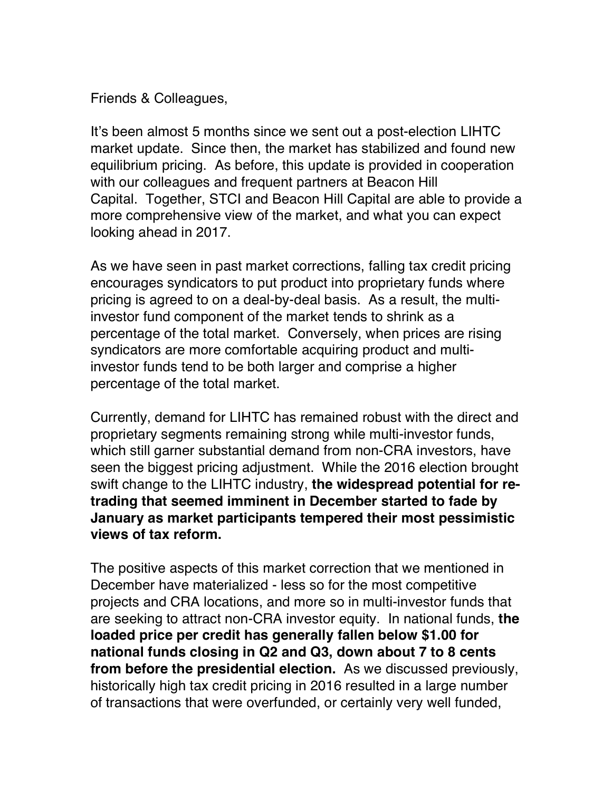Friends & Colleagues,

It's been almost 5 months since we sent out a post-election LIHTC market update. Since then, the market has stabilized and found new equilibrium pricing. As before, this update is provided in cooperation with our colleagues and frequent partners at Beacon Hill Capital. Together, STCI and Beacon Hill Capital are able to provide a more comprehensive view of the market, and what you can expect looking ahead in 2017.

As we have seen in past market corrections, falling tax credit pricing encourages syndicators to put product into proprietary funds where pricing is agreed to on a deal-by-deal basis. As a result, the multiinvestor fund component of the market tends to shrink as a percentage of the total market. Conversely, when prices are rising syndicators are more comfortable acquiring product and multiinvestor funds tend to be both larger and comprise a higher percentage of the total market.

Currently, demand for LIHTC has remained robust with the direct and proprietary segments remaining strong while multi-investor funds, which still garner substantial demand from non-CRA investors, have seen the biggest pricing adjustment. While the 2016 election brought swift change to the LIHTC industry, **the widespread potential for retrading that seemed imminent in December started to fade by January as market participants tempered their most pessimistic views of tax reform.** 

The positive aspects of this market correction that we mentioned in December have materialized - less so for the most competitive projects and CRA locations, and more so in multi-investor funds that are seeking to attract non-CRA investor equity. In national funds, **the loaded price per credit has generally fallen below \$1.00 for national funds closing in Q2 and Q3, down about 7 to 8 cents from before the presidential election.** As we discussed previously, historically high tax credit pricing in 2016 resulted in a large number of transactions that were overfunded, or certainly very well funded,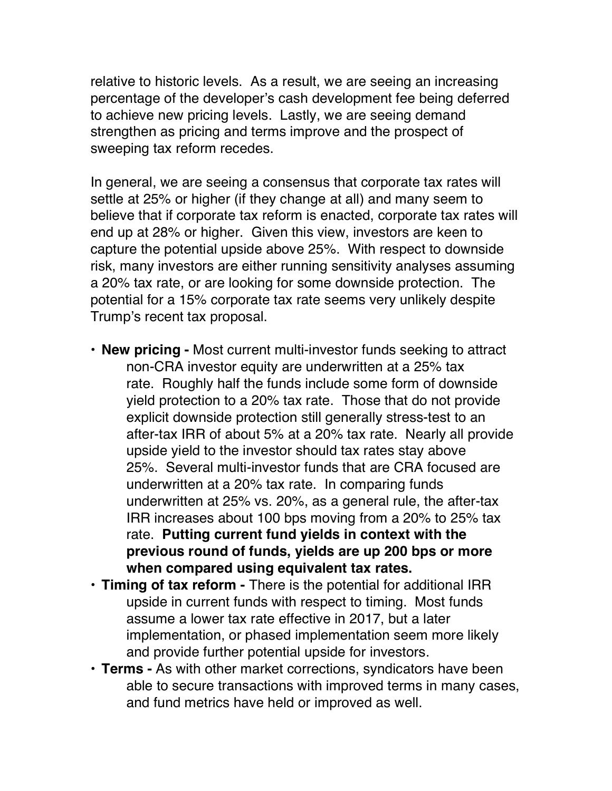relative to historic levels. As a result, we are seeing an increasing percentage of the developer's cash development fee being deferred to achieve new pricing levels. Lastly, we are seeing demand strengthen as pricing and terms improve and the prospect of sweeping tax reform recedes.

In general, we are seeing a consensus that corporate tax rates will settle at 25% or higher (if they change at all) and many seem to believe that if corporate tax reform is enacted, corporate tax rates will end up at 28% or higher. Given this view, investors are keen to capture the potential upside above 25%. With respect to downside risk, many investors are either running sensitivity analyses assuming a 20% tax rate, or are looking for some downside protection. The potential for a 15% corporate tax rate seems very unlikely despite Trump's recent tax proposal.

- **New pricing -** Most current multi-investor funds seeking to attract non-CRA investor equity are underwritten at a 25% tax rate. Roughly half the funds include some form of downside yield protection to a 20% tax rate. Those that do not provide explicit downside protection still generally stress-test to an after-tax IRR of about 5% at a 20% tax rate. Nearly all provide upside yield to the investor should tax rates stay above 25%. Several multi-investor funds that are CRA focused are underwritten at a 20% tax rate. In comparing funds underwritten at 25% vs. 20%, as a general rule, the after-tax IRR increases about 100 bps moving from a 20% to 25% tax rate. **Putting current fund yields in context with the previous round of funds, yields are up 200 bps or more when compared using equivalent tax rates.**
- **Timing of tax reform -** There is the potential for additional IRR upside in current funds with respect to timing. Most funds assume a lower tax rate effective in 2017, but a later implementation, or phased implementation seem more likely and provide further potential upside for investors.
- **Terms -** As with other market corrections, syndicators have been able to secure transactions with improved terms in many cases, and fund metrics have held or improved as well.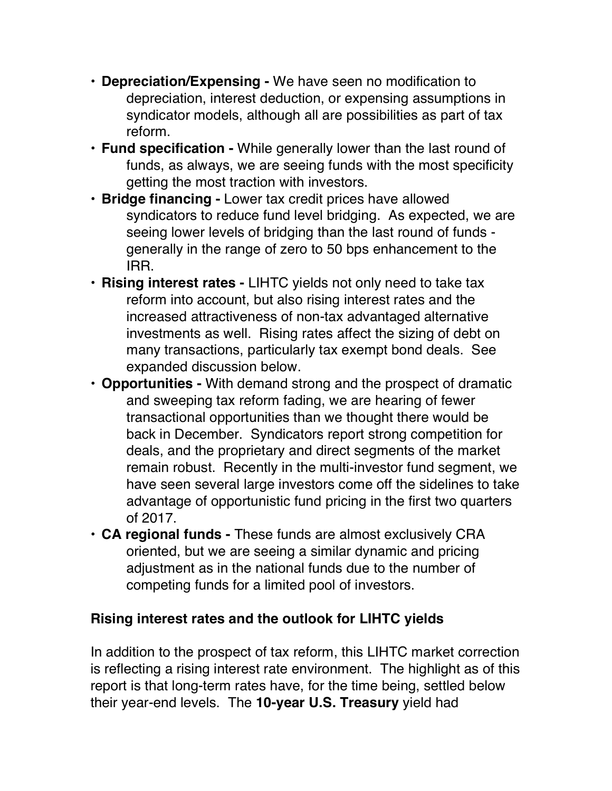- **Depreciation/Expensing -** We have seen no modification to depreciation, interest deduction, or expensing assumptions in syndicator models, although all are possibilities as part of tax reform.
- **Fund specification -** While generally lower than the last round of funds, as always, we are seeing funds with the most specificity getting the most traction with investors.
- **Bridge financing -** Lower tax credit prices have allowed syndicators to reduce fund level bridging. As expected, we are seeing lower levels of bridging than the last round of funds generally in the range of zero to 50 bps enhancement to the IRR.
- **Rising interest rates -** LIHTC yields not only need to take tax reform into account, but also rising interest rates and the increased attractiveness of non-tax advantaged alternative investments as well. Rising rates affect the sizing of debt on many transactions, particularly tax exempt bond deals. See expanded discussion below.
- **Opportunities -** With demand strong and the prospect of dramatic and sweeping tax reform fading, we are hearing of fewer transactional opportunities than we thought there would be back in December. Syndicators report strong competition for deals, and the proprietary and direct segments of the market remain robust. Recently in the multi-investor fund segment, we have seen several large investors come off the sidelines to take advantage of opportunistic fund pricing in the first two quarters of 2017.
- **CA regional funds -** These funds are almost exclusively CRA oriented, but we are seeing a similar dynamic and pricing adjustment as in the national funds due to the number of competing funds for a limited pool of investors.

## **Rising interest rates and the outlook for LIHTC yields**

In addition to the prospect of tax reform, this LIHTC market correction is reflecting a rising interest rate environment. The highlight as of this report is that long-term rates have, for the time being, settled below their year-end levels. The **10-year U.S. Treasury** yield had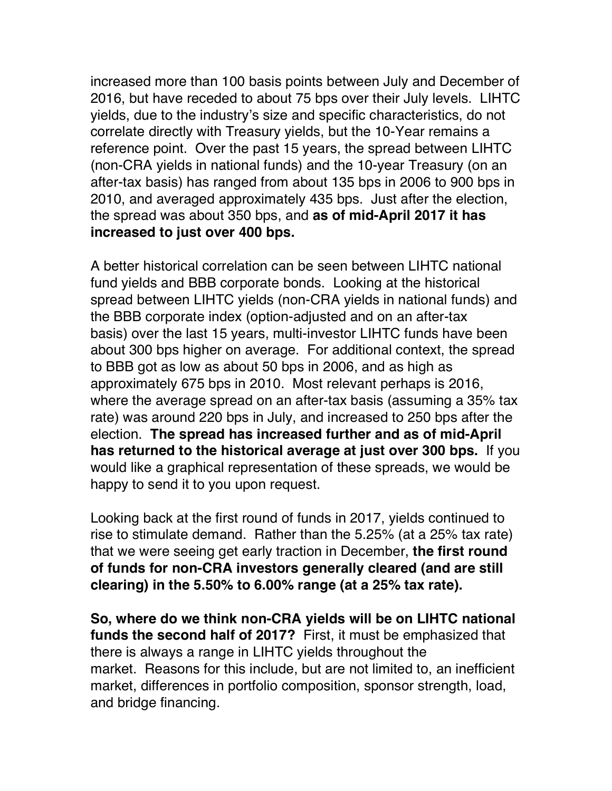increased more than 100 basis points between July and December of 2016, but have receded to about 75 bps over their July levels. LIHTC yields, due to the industry's size and specific characteristics, do not correlate directly with Treasury yields, but the 10-Year remains a reference point. Over the past 15 years, the spread between LIHTC (non-CRA yields in national funds) and the 10-year Treasury (on an after-tax basis) has ranged from about 135 bps in 2006 to 900 bps in 2010, and averaged approximately 435 bps. Just after the election, the spread was about 350 bps, and **as of mid-April 2017 it has increased to just over 400 bps.**

A better historical correlation can be seen between LIHTC national fund yields and BBB corporate bonds. Looking at the historical spread between LIHTC yields (non-CRA yields in national funds) and the BBB corporate index (option-adjusted and on an after-tax basis) over the last 15 years, multi-investor LIHTC funds have been about 300 bps higher on average. For additional context, the spread to BBB got as low as about 50 bps in 2006, and as high as approximately 675 bps in 2010. Most relevant perhaps is 2016, where the average spread on an after-tax basis (assuming a 35% tax rate) was around 220 bps in July, and increased to 250 bps after the election. **The spread has increased further and as of mid-April has returned to the historical average at just over 300 bps.** If you would like a graphical representation of these spreads, we would be happy to send it to you upon request.

Looking back at the first round of funds in 2017, yields continued to rise to stimulate demand. Rather than the 5.25% (at a 25% tax rate) that we were seeing get early traction in December, **the first round of funds for non-CRA investors generally cleared (and are still clearing) in the 5.50% to 6.00% range (at a 25% tax rate).**

**So, where do we think non-CRA yields will be on LIHTC national funds the second half of 2017?** First, it must be emphasized that there is always a range in LIHTC yields throughout the market. Reasons for this include, but are not limited to, an inefficient market, differences in portfolio composition, sponsor strength, load, and bridge financing.